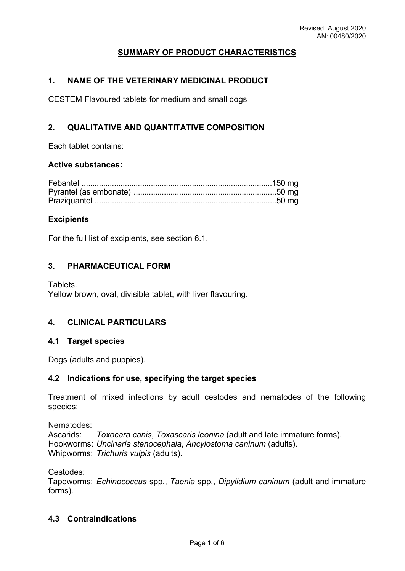# **SUMMARY OF PRODUCT CHARACTERISTICS**

## **1. NAME OF THE VETERINARY MEDICINAL PRODUCT**

CESTEM Flavoured tablets for medium and small dogs

# **2. QUALITATIVE AND QUANTITATIVE COMPOSITION**

Each tablet contains:

## **Active substances:**

## **Excipients**

For the full list of excipients, see section 6.1.

## **3. PHARMACEUTICAL FORM**

Tablets. Yellow brown, oval, divisible tablet, with liver flavouring.

## **4. CLINICAL PARTICULARS**

### **4.1 Target species**

Dogs (adults and puppies).

### **4.2 Indications for use, specifying the target species**

Treatment of mixed infections by adult cestodes and nematodes of the following species:

Nematodes:

Ascarids: *Toxocara canis*, *Toxascaris leonina* (adult and late immature forms). Hookworms: *Uncinaria stenocephala*, *Ancylostoma caninum* (adults). Whipworms: *Trichuris vulpis* (adults).

Cestodes:

Tapeworms: *Echinococcus* spp., *Taenia* spp., *Dipylidium caninum* (adult and immature forms).

# **4.3 Contraindications**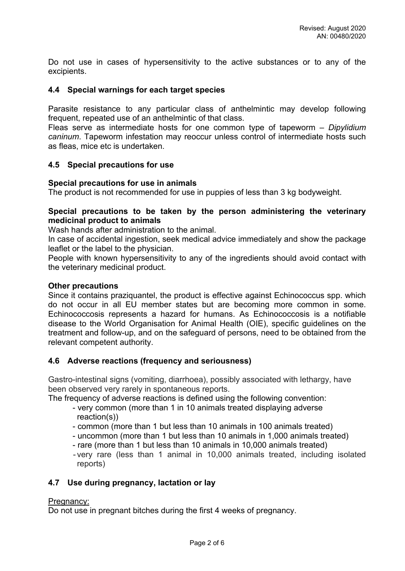Do not use in cases of hypersensitivity to the active substances or to any of the excipients.

## **4.4 Special warnings for each target species**

Parasite resistance to any particular class of anthelmintic may develop following frequent, repeated use of an anthelmintic of that class.

Fleas serve as intermediate hosts for one common type of tapeworm – *Dipylidium caninum*. Tapeworm infestation may reoccur unless control of intermediate hosts such as fleas, mice etc is undertaken.

## **4.5 Special precautions for use**

## **Special precautions for use in animals**

The product is not recommended for use in puppies of less than 3 kg bodyweight.

## **Special precautions to be taken by the person administering the veterinary medicinal product to animals**

Wash hands after administration to the animal.

In case of accidental ingestion, seek medical advice immediately and show the package leaflet or the label to the physician.

People with known hypersensitivity to any of the ingredients should avoid contact with the veterinary medicinal product.

## **Other precautions**

Since it contains praziquantel, the product is effective against Echinococcus spp. which do not occur in all EU member states but are becoming more common in some. Echinococcosis represents a hazard for humans. As Echinococcosis is a notifiable disease to the World Organisation for Animal Health (OIE), specific guidelines on the treatment and follow-up, and on the safeguard of persons, need to be obtained from the relevant competent authority.

## **4.6 Adverse reactions (frequency and seriousness)**

Gastro-intestinal signs (vomiting, diarrhoea), possibly associated with lethargy, have been observed very rarely in spontaneous reports.

The frequency of adverse reactions is defined using the following convention:

- very common (more than 1 in 10 animals treated displaying adverse reaction(s))
- common (more than 1 but less than 10 animals in 100 animals treated)
- uncommon (more than 1 but less than 10 animals in 1,000 animals treated)
- rare (more than 1 but less than 10 animals in 10,000 animals treated)
- very rare (less than 1 animal in 10,000 animals treated, including isolated reports)

## **4.7 Use during pregnancy, lactation or lay**

### Pregnancy:

Do not use in pregnant bitches during the first 4 weeks of pregnancy.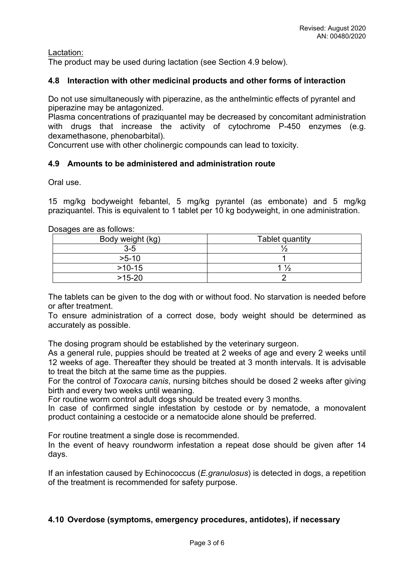Lactation:

The product may be used during lactation (see Section 4.9 below).

# **4.8 Interaction with other medicinal products and other forms of interaction**

Do not use simultaneously with piperazine, as the anthelmintic effects of pyrantel and piperazine may be antagonized.

Plasma concentrations of praziquantel may be decreased by concomitant administration with drugs that increase the activity of cytochrome P-450 enzymes (e.g. dexamethasone, phenobarbital).

Concurrent use with other cholinergic compounds can lead to toxicity.

# **4.9 Amounts to be administered and administration route**

Oral use.

15 mg/kg bodyweight febantel, 5 mg/kg pyrantel (as embonate) and 5 mg/kg praziquantel. This is equivalent to 1 tablet per 10 kg bodyweight, in one administration.

## Dosages are as follows:

| Body weight (kg) | Tablet quantity |
|------------------|-----------------|
| $3-5$            |                 |
| $>5-10$          |                 |
| $>10-15$         | $\frac{1}{2}$   |
| $>15-20$         |                 |

The tablets can be given to the dog with or without food. No starvation is needed before or after treatment.

To ensure administration of a correct dose, body weight should be determined as accurately as possible.

The dosing program should be established by the veterinary surgeon.

As a general rule, puppies should be treated at 2 weeks of age and every 2 weeks until 12 weeks of age. Thereafter they should be treated at 3 month intervals. It is advisable to treat the bitch at the same time as the puppies.

For the control of *Toxocara canis*, nursing bitches should be dosed 2 weeks after giving birth and every two weeks until weaning.

For routine worm control adult dogs should be treated every 3 months.

In case of confirmed single infestation by cestode or by nematode, a monovalent product containing a cestocide or a nematocide alone should be preferred.

For routine treatment a single dose is recommended.

In the event of heavy roundworm infestation a repeat dose should be given after 14 days.

If an infestation caused by Echinococcus (*E.granulosus*) is detected in dogs, a repetition of the treatment is recommended for safety purpose.

## **4.10 Overdose (symptoms, emergency procedures, antidotes), if necessary**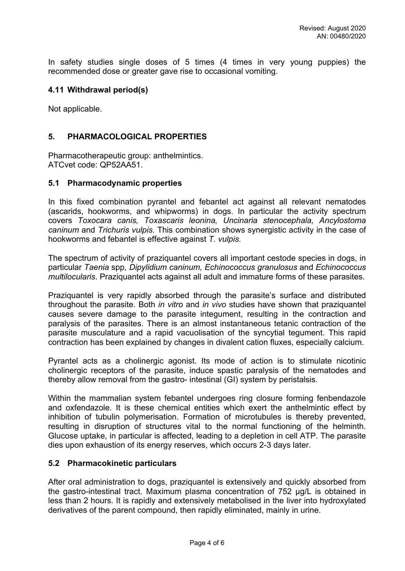In safety studies single doses of 5 times (4 times in very young puppies) the recommended dose or greater gave rise to occasional vomiting.

## **4.11 Withdrawal period(s)**

Not applicable.

# **5. PHARMACOLOGICAL PROPERTIES**

Pharmacotherapeutic group: anthelmintics. ATCvet code: QP52AA51.

## **5.1 Pharmacodynamic properties**

In this fixed combination pyrantel and febantel act against all relevant nematodes (ascarids, hookworms, and whipworms) in dogs. In particular the activity spectrum covers *Toxocara canis, Toxascaris leonina, Uncinaria stenocephala, Ancylostoma caninum* and *Trichuris vulpis*. This combination shows synergistic activity in the case of hookworms and febantel is effective against *T. vulpis.*

The spectrum of activity of praziquantel covers all important cestode species in dogs, in particular *Taenia* spp*, Dipylidium caninum, Echinococcus granulosus* and *Echinococcus multilocularis*. Praziquantel acts against all adult and immature forms of these parasites.

Praziquantel is very rapidly absorbed through the parasite's surface and distributed throughout the parasite. Both *in vitro* and *in vivo* studies have shown that praziquantel causes severe damage to the parasite integument, resulting in the contraction and paralysis of the parasites. There is an almost instantaneous tetanic contraction of the parasite musculature and a rapid vacuolisation of the syncytial tegument. This rapid contraction has been explained by changes in divalent cation fluxes, especially calcium.

Pyrantel acts as a cholinergic agonist. Its mode of action is to stimulate nicotinic cholinergic receptors of the parasite, induce spastic paralysis of the nematodes and thereby allow removal from the gastro- intestinal (GI) system by peristalsis.

Within the mammalian system febantel undergoes ring closure forming fenbendazole and oxfendazole. It is these chemical entities which exert the anthelmintic effect by inhibition of tubulin polymerisation. Formation of microtubules is thereby prevented, resulting in disruption of structures vital to the normal functioning of the helminth. Glucose uptake, in particular is affected, leading to a depletion in cell ATP. The parasite dies upon exhaustion of its energy reserves, which occurs 2-3 days later.

## **5.2 Pharmacokinetic particulars**

After oral administration to dogs, praziquantel is extensively and quickly absorbed from the gastro-intestinal tract. Maximum plasma concentration of 752 µg/L is obtained in less than 2 hours. It is rapidly and extensively metabolised in the liver into hydroxylated derivatives of the parent compound, then rapidly eliminated, mainly in urine.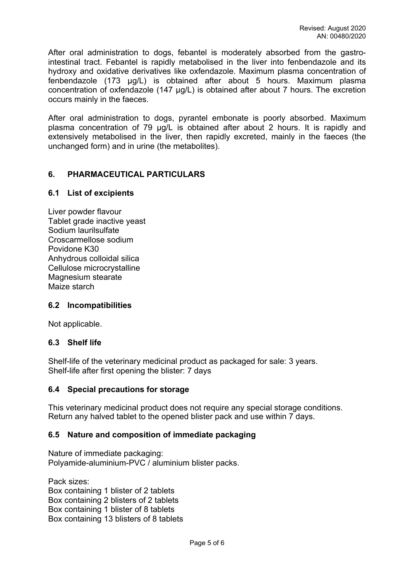After oral administration to dogs, febantel is moderately absorbed from the gastrointestinal tract. Febantel is rapidly metabolised in the liver into fenbendazole and its hydroxy and oxidative derivatives like oxfendazole. Maximum plasma concentration of fenbendazole (173 µg/L) is obtained after about 5 hours. Maximum plasma concentration of oxfendazole (147 µg/L) is obtained after about 7 hours. The excretion occurs mainly in the faeces.

After oral administration to dogs, pyrantel embonate is poorly absorbed. Maximum plasma concentration of 79 µg/L is obtained after about 2 hours. It is rapidly and extensively metabolised in the liver, then rapidly excreted, mainly in the faeces (the unchanged form) and in urine (the metabolites).

## **6. PHARMACEUTICAL PARTICULARS**

### **6.1 List of excipients**

Liver powder flavour Tablet grade inactive yeast Sodium laurilsulfate Croscarmellose sodium Povidone K30 Anhydrous colloidal silica Cellulose microcrystalline Magnesium stearate Maize starch

## **6.2 Incompatibilities**

Not applicable.

### **6.3 Shelf life**

Shelf-life of the veterinary medicinal product as packaged for sale: 3 years. Shelf-life after first opening the blister: 7 days

### **6.4 Special precautions for storage**

This veterinary medicinal product does not require any special storage conditions. Return any halved tablet to the opened blister pack and use within 7 days.

### **6.5 Nature and composition of immediate packaging**

Nature of immediate packaging: Polyamide-aluminium-PVC / aluminium blister packs.

Pack sizes: Box containing 1 blister of 2 tablets Box containing 2 blisters of 2 tablets Box containing 1 blister of 8 tablets Box containing 13 blisters of 8 tablets